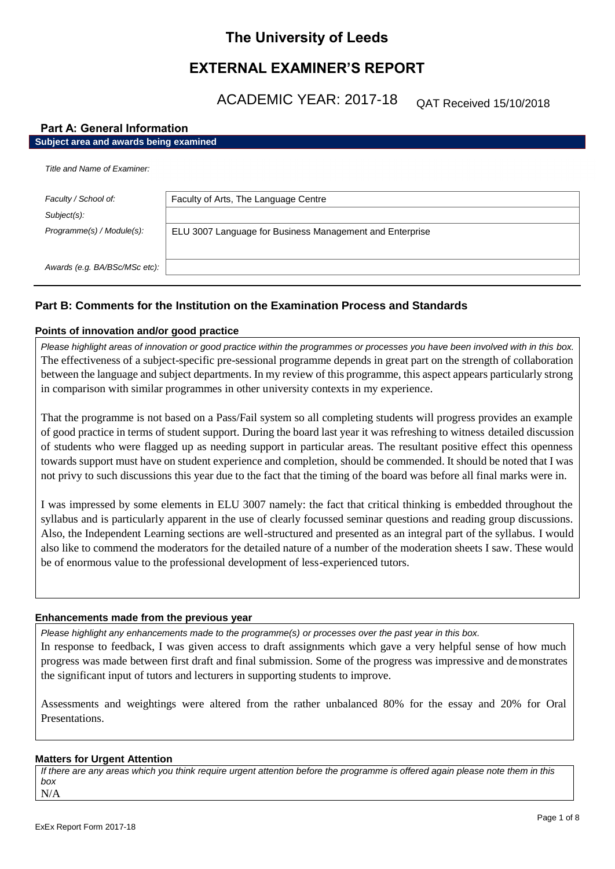# **The University of Leeds**

# **EXTERNAL EXAMINER'S REPORT**

ACADEMIC YEAR: 2017-18

QAT Received 15/10/2018

# **Part A: General Information**

| Subject area and awards being examined |                                                          |  |
|----------------------------------------|----------------------------------------------------------|--|
| Title and Name of Examiner:            |                                                          |  |
| Faculty / School of:                   | Faculty of Arts, The Language Centre                     |  |
| $Subject(s)$ :                         |                                                          |  |
| Programme(s) / Module(s):              | ELU 3007 Language for Business Management and Enterprise |  |
| Awards (e.g. BA/BSc/MSc etc):          |                                                          |  |

# **Part B: Comments for the Institution on the Examination Process and Standards**

# **Points of innovation and/or good practice**

*Please highlight areas of innovation or good practice within the programmes or processes you have been involved with in this box.* The effectiveness of a subject-specific pre-sessional programme depends in great part on the strength of collaboration between the language and subject departments. In my review of this programme, this aspect appears particularly strong in comparison with similar programmes in other university contexts in my experience.

That the programme is not based on a Pass/Fail system so all completing students will progress provides an example of good practice in terms of student support. During the board last year it was refreshing to witness detailed discussion of students who were flagged up as needing support in particular areas. The resultant positive effect this openness towards support must have on student experience and completion, should be commended. It should be noted that I was not privy to such discussions this year due to the fact that the timing of the board was before all final marks were in.

I was impressed by some elements in ELU 3007 namely: the fact that critical thinking is embedded throughout the syllabus and is particularly apparent in the use of clearly focussed seminar questions and reading group discussions. Also, the Independent Learning sections are well-structured and presented as an integral part of the syllabus. I would also like to commend the moderators for the detailed nature of a number of the moderation sheets I saw. These would be of enormous value to the professional development of less-experienced tutors.

### **Enhancements made from the previous year**

*Please highlight any enhancements made to the programme(s) or processes over the past year in this box.*

In response to feedback, I was given access to draft assignments which gave a very helpful sense of how much progress was made between first draft and final submission. Some of the progress was impressive and demonstrates the significant input of tutors and lecturers in supporting students to improve.

Assessments and weightings were altered from the rather unbalanced 80% for the essay and 20% for Oral Presentations.

# **Matters for Urgent Attention**

*If there are any areas which you think require urgent attention before the programme is offered again please note them in this box* N/A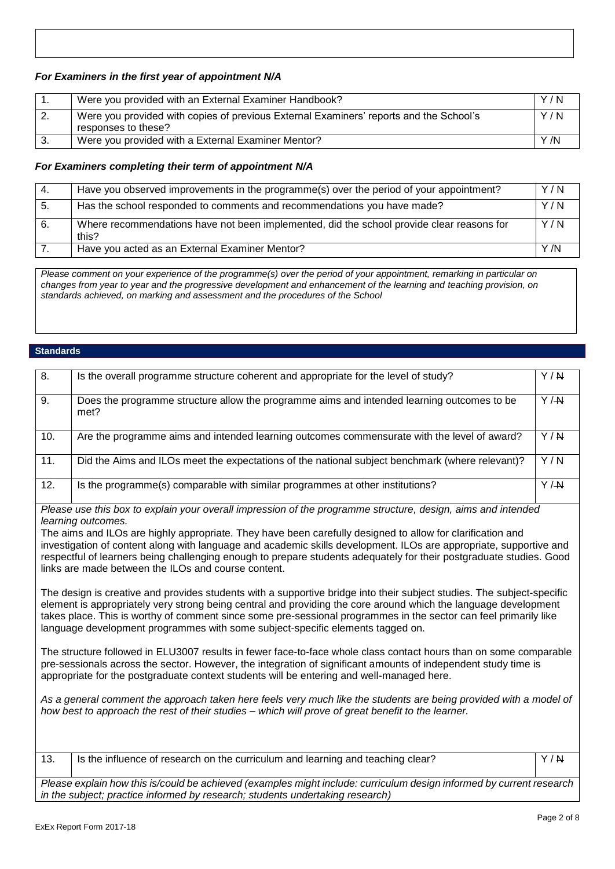# *For Examiners in the first year of appointment N/A*

|     | Were you provided with an External Examiner Handbook?                                                         | Y/N  |
|-----|---------------------------------------------------------------------------------------------------------------|------|
| -2. | Were you provided with copies of previous External Examiners' reports and the School's<br>responses to these? | Y/N  |
|     | Were you provided with a External Examiner Mentor?                                                            | Y /N |

# *For Examiners completing their term of appointment N/A*

| -4. | Have you observed improvements in the programme(s) over the period of your appointment?            | Y/N  |
|-----|----------------------------------------------------------------------------------------------------|------|
| -5. | Has the school responded to comments and recommendations you have made?                            | Y/N  |
|     | Where recommendations have not been implemented, did the school provide clear reasons for<br>this? | Y/N  |
|     | Have you acted as an External Examiner Mentor?                                                     | Y /N |

*Please comment on your experience of the programme(s) over the period of your appointment, remarking in particular on changes from year to year and the progressive development and enhancement of the learning and teaching provision, on standards achieved, on marking and assessment and the procedures of the School*

### **Standards**

| 8.  | Is the overall programme structure coherent and appropriate for the level of study?                | Y/N |
|-----|----------------------------------------------------------------------------------------------------|-----|
| 9.  | Does the programme structure allow the programme aims and intended learning outcomes to be<br>met? | Y/M |
| 10. | Are the programme aims and intended learning outcomes commensurate with the level of award?        | Y/N |
| 11. | Did the Aims and ILOs meet the expectations of the national subject benchmark (where relevant)?    | Y/N |
| 12. | Is the programme(s) comparable with similar programmes at other institutions?                      | Y/M |

*Please use this box to explain your overall impression of the programme structure, design, aims and intended learning outcomes.*

The aims and ILOs are highly appropriate. They have been carefully designed to allow for clarification and investigation of content along with language and academic skills development. ILOs are appropriate, supportive and respectful of learners being challenging enough to prepare students adequately for their postgraduate studies. Good links are made between the ILOs and course content.

The design is creative and provides students with a supportive bridge into their subject studies. The subject-specific element is appropriately very strong being central and providing the core around which the language development takes place. This is worthy of comment since some pre-sessional programmes in the sector can feel primarily like language development programmes with some subject-specific elements tagged on.

The structure followed in ELU3007 results in fewer face-to-face whole class contact hours than on some comparable pre-sessionals across the sector. However, the integration of significant amounts of independent study time is appropriate for the postgraduate context students will be entering and well-managed here.

*As a general comment the approach taken here feels very much like the students are being provided with a model of how best to approach the rest of their studies – which will prove of great benefit to the learner.*

| $-13.$ | Is the influence of research on the curriculum and learning and teaching clear? | Y / N |
|--------|---------------------------------------------------------------------------------|-------|
|        |                                                                                 |       |

*Please explain how this is/could be achieved (examples might include: curriculum design informed by current research in the subject; practice informed by research; students undertaking research)*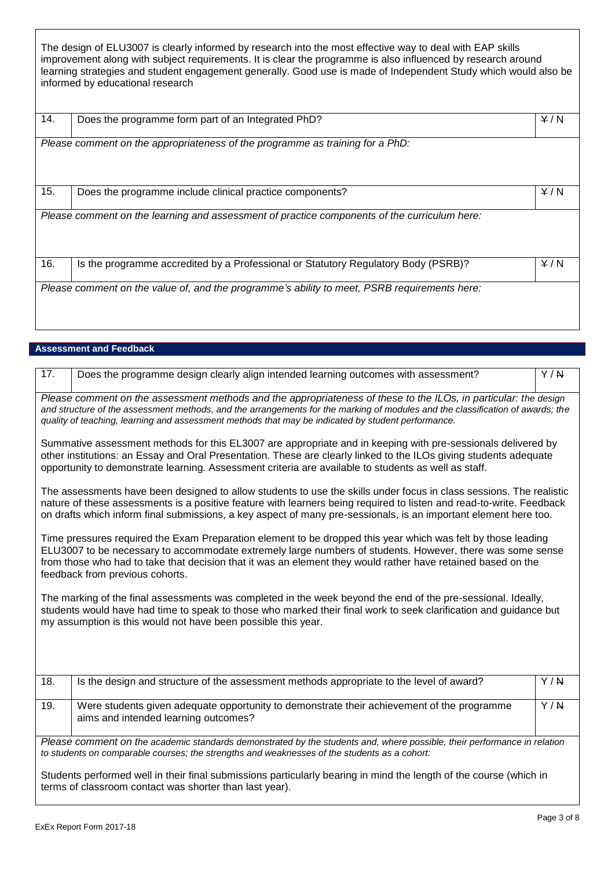The design of ELU3007 is clearly informed by research into the most effective way to deal with EAP skills improvement along with subject requirements. It is clear the programme is also influenced by research around learning strategies and student engagement generally. Good use is made of Independent Study which would also be informed by educational research

| 14. | Does the programme form part of an Integrated PhD?                                           | Y/N |
|-----|----------------------------------------------------------------------------------------------|-----|
|     | Please comment on the appropriateness of the programme as training for a PhD:                |     |
| 15. | Does the programme include clinical practice components?                                     | Y/N |
|     | Please comment on the learning and assessment of practice components of the curriculum here: |     |
| 16. | Is the programme accredited by a Professional or Statutory Regulatory Body (PSRB)?           | Y/N |
|     | Please comment on the value of, and the programme's ability to meet, PSRB requirements here: |     |

# **Assessment and Feedback**

| 17.                                                                                                                                                                                                                                                                                                                                                                          | Does the programme design clearly align intended learning outcomes with assessment?                                                                                                                                                                                                                                                                             | Y/N              |  |  |
|------------------------------------------------------------------------------------------------------------------------------------------------------------------------------------------------------------------------------------------------------------------------------------------------------------------------------------------------------------------------------|-----------------------------------------------------------------------------------------------------------------------------------------------------------------------------------------------------------------------------------------------------------------------------------------------------------------------------------------------------------------|------------------|--|--|
| Please comment on the assessment methods and the appropriateness of these to the ILOs, in particular: the design<br>and structure of the assessment methods, and the arrangements for the marking of modules and the classification of awards; the<br>quality of teaching, learning and assessment methods that may be indicated by student performance.                     |                                                                                                                                                                                                                                                                                                                                                                 |                  |  |  |
|                                                                                                                                                                                                                                                                                                                                                                              | Summative assessment methods for this EL3007 are appropriate and in keeping with pre-sessionals delivered by<br>other institutions: an Essay and Oral Presentation. These are clearly linked to the ILOs giving students adequate<br>opportunity to demonstrate learning. Assessment criteria are available to students as well as staff.                       |                  |  |  |
|                                                                                                                                                                                                                                                                                                                                                                              | The assessments have been designed to allow students to use the skills under focus in class sessions. The realistic<br>nature of these assessments is a positive feature with learners being required to listen and read-to-write. Feedback<br>on drafts which inform final submissions, a key aspect of many pre-sessionals, is an important element here too. |                  |  |  |
| Time pressures required the Exam Preparation element to be dropped this year which was felt by those leading<br>ELU3007 to be necessary to accommodate extremely large numbers of students. However, there was some sense<br>from those who had to take that decision that it was an element they would rather have retained based on the<br>feedback from previous cohorts. |                                                                                                                                                                                                                                                                                                                                                                 |                  |  |  |
| The marking of the final assessments was completed in the week beyond the end of the pre-sessional. Ideally,<br>students would have had time to speak to those who marked their final work to seek clarification and guidance but<br>my assumption is this would not have been possible this year.                                                                           |                                                                                                                                                                                                                                                                                                                                                                 |                  |  |  |
|                                                                                                                                                                                                                                                                                                                                                                              |                                                                                                                                                                                                                                                                                                                                                                 |                  |  |  |
| 18.                                                                                                                                                                                                                                                                                                                                                                          | Is the design and structure of the assessment methods appropriate to the level of award?                                                                                                                                                                                                                                                                        | $\overline{Y/N}$ |  |  |
| 19.                                                                                                                                                                                                                                                                                                                                                                          | Were students given adequate opportunity to demonstrate their achievement of the programme<br>aims and intended learning outcomes?                                                                                                                                                                                                                              | Y/N              |  |  |
| Please comment on the academic standards demonstrated by the students and, where possible, their performance in relation<br>to students on comparable courses; the strengths and weaknesses of the students as a cohort:                                                                                                                                                     |                                                                                                                                                                                                                                                                                                                                                                 |                  |  |  |
| Students performed well in their final submissions particularly bearing in mind the length of the course (which in<br>terms of classroom contact was shorter than last year).                                                                                                                                                                                                |                                                                                                                                                                                                                                                                                                                                                                 |                  |  |  |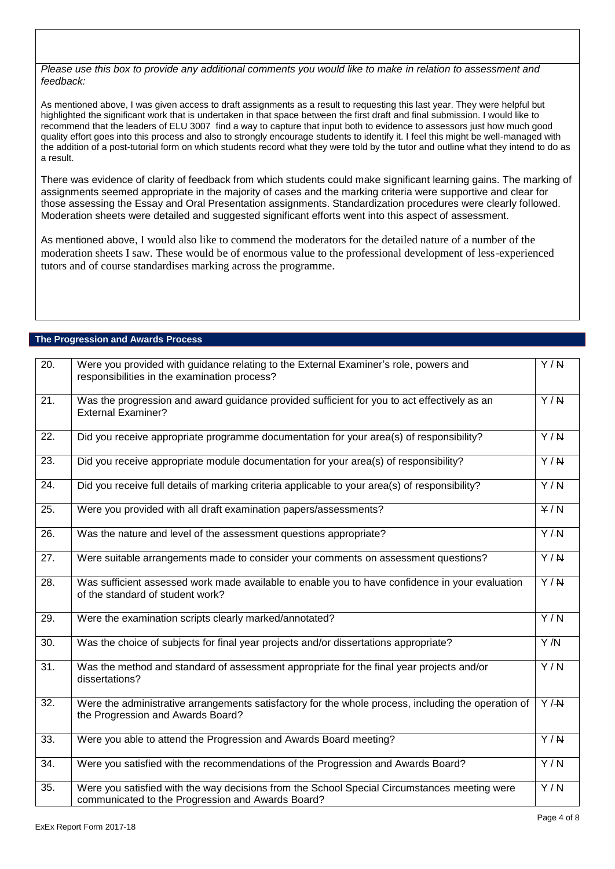*Please use this box to provide any additional comments you would like to make in relation to assessment and feedback:*

As mentioned above, I was given access to draft assignments as a result to requesting this last year. They were helpful but highlighted the significant work that is undertaken in that space between the first draft and final submission. I would like to recommend that the leaders of ELU 3007 find a way to capture that input both to evidence to assessors just how much good quality effort goes into this process and also to strongly encourage students to identify it. I feel this might be well-managed with the addition of a post-tutorial form on which students record what they were told by the tutor and outline what they intend to do as a result.

There was evidence of clarity of feedback from which students could make significant learning gains. The marking of assignments seemed appropriate in the majority of cases and the marking criteria were supportive and clear for those assessing the Essay and Oral Presentation assignments. Standardization procedures were clearly followed. Moderation sheets were detailed and suggested significant efforts went into this aspect of assessment.

As mentioned above, I would also like to commend the moderators for the detailed nature of a number of the moderation sheets I saw. These would be of enormous value to the professional development of less-experienced tutors and of course standardises marking across the programme.

# **The Progression and Awards Process**

| $\overline{20}$ . | Were you provided with guidance relating to the External Examiner's role, powers and<br>responsibilities in the examination process?              | $\overline{Y/N}$ |
|-------------------|---------------------------------------------------------------------------------------------------------------------------------------------------|------------------|
| 21.               | Was the progression and award guidance provided sufficient for you to act effectively as an<br><b>External Examiner?</b>                          | Y/N              |
| 22.               | Did you receive appropriate programme documentation for your area(s) of responsibility?                                                           | $\overline{Y/N}$ |
| 23.               | Did you receive appropriate module documentation for your area(s) of responsibility?                                                              | $\overline{Y/N}$ |
| 24.               | Did you receive full details of marking criteria applicable to your area(s) of responsibility?                                                    | $\overline{Y/N}$ |
| 25.               | Were you provided with all draft examination papers/assessments?                                                                                  | $\overline{Y/N}$ |
| 26.               | Was the nature and level of the assessment questions appropriate?                                                                                 | $\overline{Y/H}$ |
| 27.               | Were suitable arrangements made to consider your comments on assessment questions?                                                                | $\overline{Y/N}$ |
| $\overline{28}$ . | Was sufficient assessed work made available to enable you to have confidence in your evaluation<br>of the standard of student work?               | $\overline{Y/N}$ |
| 29.               | Were the examination scripts clearly marked/annotated?                                                                                            | $\overline{Y/N}$ |
| 30.               | Was the choice of subjects for final year projects and/or dissertations appropriate?                                                              | Y/N              |
| $\overline{31}$ . | Was the method and standard of assessment appropriate for the final year projects and/or<br>dissertations?                                        | Y/N              |
| 32.               | Were the administrative arrangements satisfactory for the whole process, including the operation of<br>the Progression and Awards Board?          | $\overline{Y/H}$ |
| 33.               | Were you able to attend the Progression and Awards Board meeting?                                                                                 | Y/N              |
| 34.               | Were you satisfied with the recommendations of the Progression and Awards Board?                                                                  | Y/N              |
| 35.               | Were you satisfied with the way decisions from the School Special Circumstances meeting were<br>communicated to the Progression and Awards Board? | Y/N              |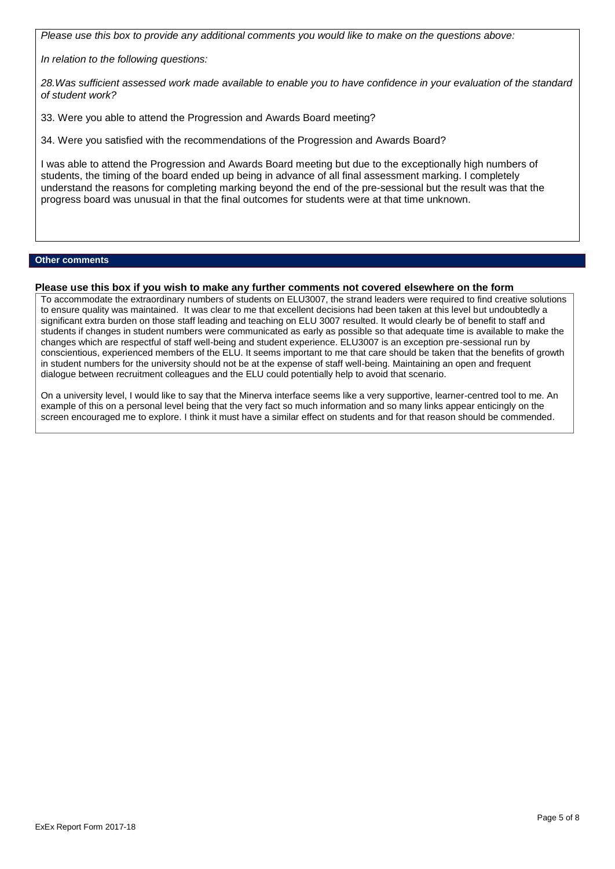*Please use this box to provide any additional comments you would like to make on the questions above:*

*In relation to the following questions:*

*28.Was sufficient assessed work made available to enable you to have confidence in your evaluation of the standard of student work?*

33. Were you able to attend the Progression and Awards Board meeting?

34. Were you satisfied with the recommendations of the Progression and Awards Board?

I was able to attend the Progression and Awards Board meeting but due to the exceptionally high numbers of students, the timing of the board ended up being in advance of all final assessment marking. I completely understand the reasons for completing marking beyond the end of the pre-sessional but the result was that the progress board was unusual in that the final outcomes for students were at that time unknown.

### **Other comments**

# **Please use this box if you wish to make any further comments not covered elsewhere on the form**

To accommodate the extraordinary numbers of students on ELU3007, the strand leaders were required to find creative solutions to ensure quality was maintained. It was clear to me that excellent decisions had been taken at this level but undoubtedly a significant extra burden on those staff leading and teaching on ELU 3007 resulted. It would clearly be of benefit to staff and students if changes in student numbers were communicated as early as possible so that adequate time is available to make the changes which are respectful of staff well-being and student experience. ELU3007 is an exception pre-sessional run by conscientious, experienced members of the ELU. It seems important to me that care should be taken that the benefits of growth in student numbers for the university should not be at the expense of staff well-being. Maintaining an open and frequent dialogue between recruitment colleagues and the ELU could potentially help to avoid that scenario.

On a university level, I would like to say that the Minerva interface seems like a very supportive, learner-centred tool to me. An example of this on a personal level being that the very fact so much information and so many links appear enticingly on the screen encouraged me to explore. I think it must have a similar effect on students and for that reason should be commended.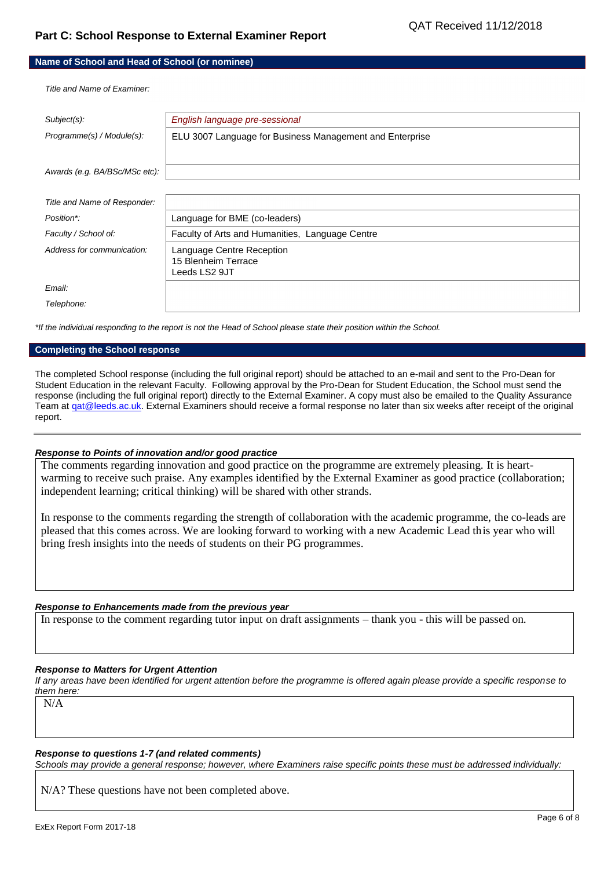# **Part C: School Response to External Examiner Report**

|  | Name of School and Head of School (or nominee) |  |  |
|--|------------------------------------------------|--|--|
|--|------------------------------------------------|--|--|

*Title and Name of Examiner:*

| Subject(s):                   | English language pre-sessional                                    |
|-------------------------------|-------------------------------------------------------------------|
| Programme(s) / Module(s):     | ELU 3007 Language for Business Management and Enterprise          |
| Awards (e.g. BA/BSc/MSc etc): |                                                                   |
|                               |                                                                   |
| Title and Name of Responder:  |                                                                   |
| Position*:                    | Language for BME (co-leaders)                                     |
| Faculty / School of:          | Faculty of Arts and Humanities, Language Centre                   |
| Address for communication:    | Language Centre Reception<br>15 Blenheim Terrace<br>Leeds LS2 9JT |
| Email:                        |                                                                   |
| Telephone:                    |                                                                   |

*\*If the individual responding to the report is not the Head of School please state their position within the School.*

#### **Completing the School response**

The completed School response (including the full original report) should be attached to an e-mail and sent to the Pro-Dean for Student Education in the relevant Faculty. Following approval by the Pro-Dean for Student Education, the School must send the response (including the full original report) directly to the External Examiner. A copy must also be emailed to the Quality Assurance Team at gat@leeds.ac.uk. External Examiners should receive a formal response no later than six weeks after receipt of the original report.

### *Response to Points of innovation and/or good practice*

The comments regarding innovation and good practice on the programme are extremely pleasing. It is heartwarming to receive such praise. Any examples identified by the External Examiner as good practice (collaboration; independent learning; critical thinking) will be shared with other strands.

In response to the comments regarding the strength of collaboration with the academic programme, the co-leads are pleased that this comes across. We are looking forward to working with a new Academic Lead this year who will bring fresh insights into the needs of students on their PG programmes.

### *Response to Enhancements made from the previous year*

In response to the comment regarding tutor input on draft assignments – thank you - this will be passed on.

### *Response to Matters for Urgent Attention*

*If any areas have been identified for urgent attention before the programme is offered again please provide a specific response to them here:*

N/A

### *Response to questions 1-7 (and related comments)*

*Schools may provide a general response; however, where Examiners raise specific points these must be addressed individually:*

N/A? These questions have not been completed above.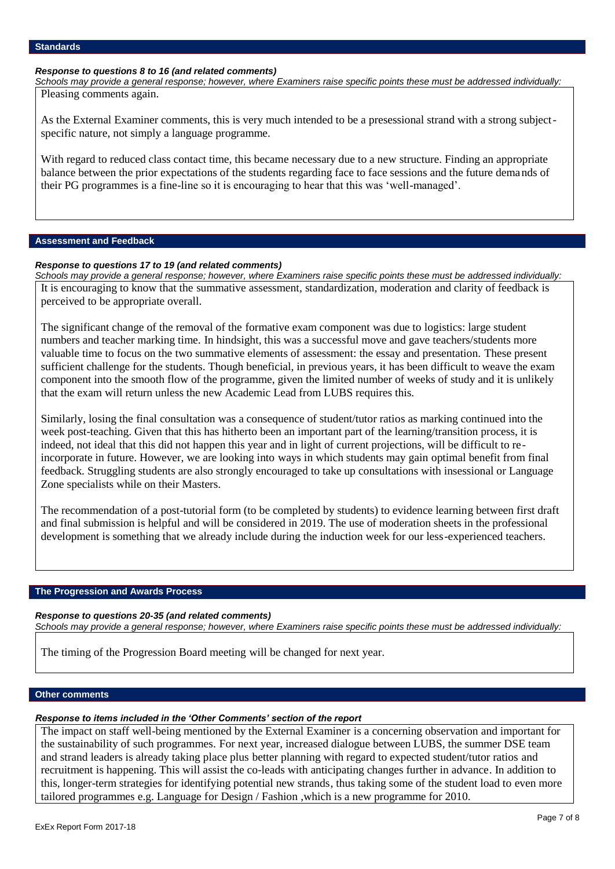### *Response to questions 8 to 16 (and related comments)*

*Schools may provide a general response; however, where Examiners raise specific points these must be addressed individually:* Pleasing comments again.

As the External Examiner comments, this is very much intended to be a presessional strand with a strong subjectspecific nature, not simply a language programme.

With regard to reduced class contact time, this became necessary due to a new structure. Finding an appropriate balance between the prior expectations of the students regarding face to face sessions and the future demands of their PG programmes is a fine-line so it is encouraging to hear that this was 'well-managed'.

### **Assessment and Feedback**

### *Response to questions 17 to 19 (and related comments)*

*Schools may provide a general response; however, where Examiners raise specific points these must be addressed individually:* It is encouraging to know that the summative assessment, standardization, moderation and clarity of feedback is perceived to be appropriate overall.

The significant change of the removal of the formative exam component was due to logistics: large student numbers and teacher marking time. In hindsight, this was a successful move and gave teachers/students more valuable time to focus on the two summative elements of assessment: the essay and presentation. These present sufficient challenge for the students. Though beneficial, in previous years, it has been difficult to weave the exam component into the smooth flow of the programme, given the limited number of weeks of study and it is unlikely that the exam will return unless the new Academic Lead from LUBS requires this.

Similarly, losing the final consultation was a consequence of student/tutor ratios as marking continued into the week post-teaching. Given that this has hitherto been an important part of the learning/transition process, it is indeed, not ideal that this did not happen this year and in light of current projections, will be difficult to reincorporate in future. However, we are looking into ways in which students may gain optimal benefit from final feedback. Struggling students are also strongly encouraged to take up consultations with insessional or Language Zone specialists while on their Masters.

The recommendation of a post-tutorial form (to be completed by students) to evidence learning between first draft and final submission is helpful and will be considered in 2019. The use of moderation sheets in the professional development is something that we already include during the induction week for our less-experienced teachers.

### **The Progression and Awards Process**

### *Response to questions 20-35 (and related comments)*

*Schools may provide a general response; however, where Examiners raise specific points these must be addressed individually:*

The timing of the Progression Board meeting will be changed for next year.

### **Other comments**

### *Response to items included in the 'Other Comments' section of the report*

The impact on staff well-being mentioned by the External Examiner is a concerning observation and important for the sustainability of such programmes. For next year, increased dialogue between LUBS, the summer DSE team and strand leaders is already taking place plus better planning with regard to expected student/tutor ratios and recruitment is happening. This will assist the co-leads with anticipating changes further in advance. In addition to this, longer-term strategies for identifying potential new strands, thus taking some of the student load to even more tailored programmes e.g. Language for Design / Fashion ,which is a new programme for 2010.